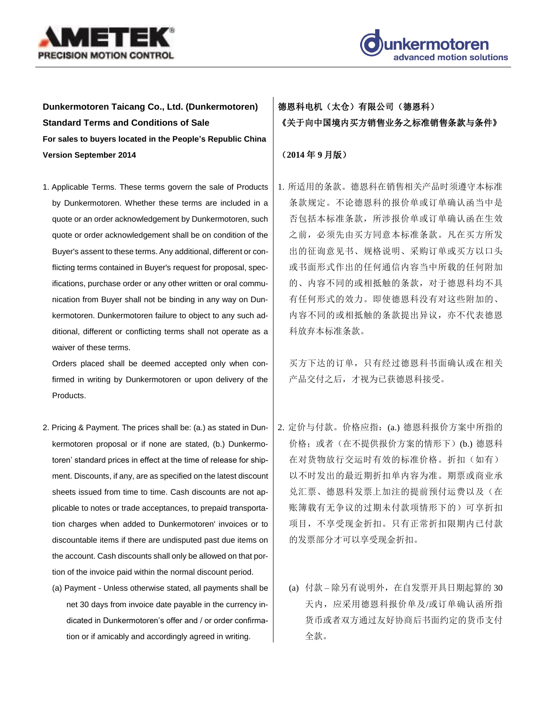



**Dunkermotoren Taicang Co., Ltd. (Dunkermotoren) Standard Terms and Conditions of Sale For sales to buyers located in the People's Republic China Version September 2014**

1. Applicable Terms. These terms govern the sale of Products by Dunkermotoren. Whether these terms are included in a quote or an order acknowledgement by Dunkermotoren, such quote or order acknowledgement shall be on condition of the Buyer's assent to these terms. Any additional, different or conflicting terms contained in Buyer's request for proposal, specifications, purchase order or any other written or oral communication from Buyer shall not be binding in any way on Dunkermotoren. Dunkermotoren failure to object to any such additional, different or conflicting terms shall not operate as a waiver of these terms.

Orders placed shall be deemed accepted only when confirmed in writing by Dunkermotoren or upon delivery of the Products.

- 2. Pricing & Payment. The prices shall be: (a.) as stated in Dunkermotoren proposal or if none are stated, (b.) Dunkermotoren' standard prices in effect at the time of release for shipment. Discounts, if any, are as specified on the latest discount sheets issued from time to time. Cash discounts are not applicable to notes or trade acceptances, to prepaid transportation charges when added to Dunkermotoren' invoices or to discountable items if there are undisputed past due items on the account. Cash discounts shall only be allowed on that portion of the invoice paid within the normal discount period.
	- (a) Payment Unless otherwise stated, all payments shall be net 30 days from invoice date payable in the currency indicated in Dunkermotoren's offer and / or order confirmation or if amicably and accordingly agreed in writing.

## 德恩科电机(太仓)有限公司(德恩科) 《关于向中国境内买方销售业务之标准销售条款与条件》

## (**2014** 年 **9** 月版)

1. 所适用的条款。德恩科在销售相关产品时须遵守本标准 条款规定。不论德恩科的报价单或订单确认函当中是 否包括本标准条款,所涉报价单或订单确认函在生效 之前,必须先由买方同意本标准条款。凡在买方所发 出的征询意见书、规格说明、采购订单或买方以口头 或书面形式作出的任何通信内容当中所载的任何附加 的、内容不同的或相抵触的条款,对于德恩科均不具 有任何形式的效力。即使德恩科没有对这些附加的、 内容不同的或相抵触的条款提出异议,亦不代表德恩 科放弃本标准条款。

买方下达的订单,只有经过德恩科书面确认或在相关 产品交付之后,才视为已获德恩科接受。

- 2. 定价与付款。价格应指:(a.) 德恩科报价方案中所指的 价格; 或者(在不提供报价方案的情形下)(b.) 德恩科 在对货物放行交运时有效的标准价格。折扣(如有) 以不时发出的最近期折扣单内容为准。期票或商业承 兑汇票、德恩科发票上加注的提前预付运费以及(在 账簿载有无争议的过期未付款项情形下的)可享折扣 项目,不享受现金折扣。只有正常折扣限期内已付款 的发票部分才可以享受现金折扣。
	- (a) 付款 除另有说明外,在自发票开具日期起算的 30 天内,应采用德恩科报价单及/或订单确认函所指 货币或者双方通过友好协商后书面约定的货币支付 全款。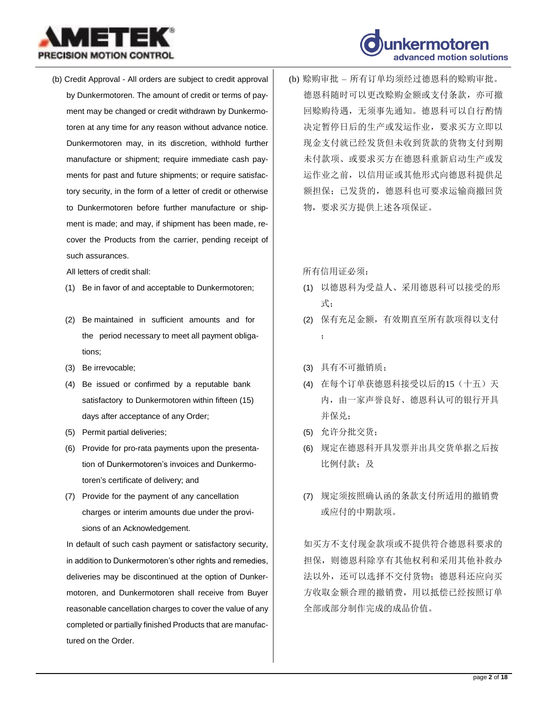



(b) Credit Approval - All orders are subject to credit approval by Dunkermotoren. The amount of credit or terms of payment may be changed or credit withdrawn by Dunkermotoren at any time for any reason without advance notice. Dunkermotoren may, in its discretion, withhold further manufacture or shipment; require immediate cash payments for past and future shipments; or require satisfactory security, in the form of a letter of credit or otherwise to Dunkermotoren before further manufacture or shipment is made; and may, if shipment has been made, recover the Products from the carrier, pending receipt of such assurances.

All letters of credit shall:

- (1) Be in favor of and acceptable to Dunkermotoren;
- (2) Be maintained in sufficient amounts and for the period necessary to meet all payment obligations;
- (3) Be irrevocable;
- (4) Be issued or confirmed by a reputable bank satisfactory to Dunkermotoren within fifteen (15) days after acceptance of any Order;
- (5) Permit partial deliveries;
- (6) Provide for pro-rata payments upon the presentation of Dunkermotoren's invoices and Dunkermotoren's certificate of delivery; and
- (7) Provide for the payment of any cancellation charges or interim amounts due under the provisions of an Acknowledgement.

In default of such cash payment or satisfactory security, in addition to Dunkermotoren's other rights and remedies, deliveries may be discontinued at the option of Dunkermotoren, and Dunkermotoren shall receive from Buyer reasonable cancellation charges to cover the value of any completed or partially finished Products that are manufactured on the Order.

(b) 赊购审批 – 所有订单均须经过德恩科的赊购审批。 德恩科随时可以更改赊购金额或支付条款,亦可撤 回赊购待遇,无须事先通知。德恩科可以自行酌情 决定暂停日后的生产或发运作业,要求买方立即以 现金支付就已经发货但未收到货款的货物支付到期 未付款项、或要求买方在德恩科重新启动生产或发 运作业之前,以信用证或其他形式向德恩科提供足 额担保;已发货的,德恩科也可要求运输商撤回货 物,要求买方提供上述各项保证。

所有信用证必须:

- (1) 以德恩科为受益人、采用德恩科可以接受的形 式;
- (2) 保有充足金额,有效期直至所有款项得以支付 ;
- (3) 具有不可撤销质;
- (4) 在每个订单获德恩科接受以后的15(十五)天 内,由一家声誉良好、德恩科认可的银行开具 并保兑;
- (5) 允许分批交货;
- (6) 规定在德恩科开具发票并出具交货单据之后按 比例付款;及
- (7) 规定须按照确认函的条款支付所适用的撤销费 或应付的中期款项。

如买方不支付现金款项或不提供符合德恩科要求的 担保,则德恩科除享有其他权利和采用其他补救办 法以外,还可以选择不交付货物;德恩科还应向买 方收取金额合理的撤销费,用以抵偿已经按照订单 全部或部分制作完成的成品价值。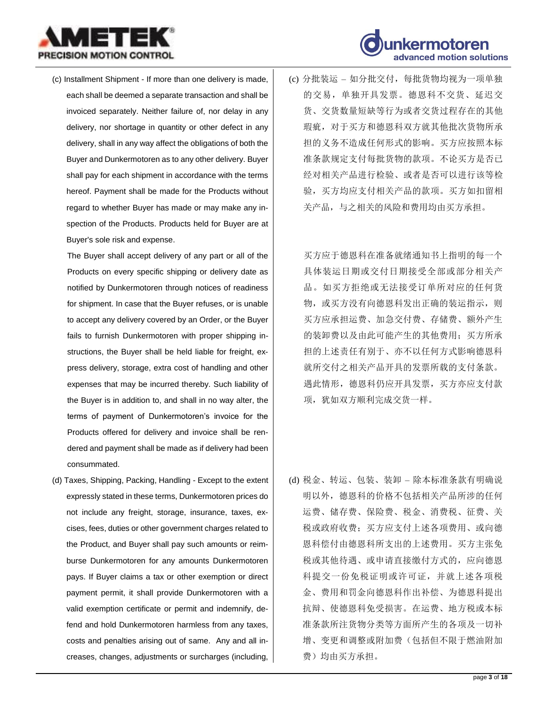



(c) Installment Shipment - If more than one delivery is made, each shall be deemed a separate transaction and shall be invoiced separately. Neither failure of, nor delay in any delivery, nor shortage in quantity or other defect in any delivery, shall in any way affect the obligations of both the Buyer and Dunkermotoren as to any other delivery. Buyer shall pay for each shipment in accordance with the terms hereof. Payment shall be made for the Products without regard to whether Buyer has made or may make any inspection of the Products. Products held for Buyer are at Buyer's sole risk and expense.

The Buyer shall accept delivery of any part or all of the Products on every specific shipping or delivery date as notified by Dunkermotoren through notices of readiness for shipment. In case that the Buyer refuses, or is unable to accept any delivery covered by an Order, or the Buyer fails to furnish Dunkermotoren with proper shipping instructions, the Buyer shall be held liable for freight, express delivery, storage, extra cost of handling and other expenses that may be incurred thereby. Such liability of the Buyer is in addition to, and shall in no way alter, the terms of payment of Dunkermotoren's invoice for the Products offered for delivery and invoice shall be rendered and payment shall be made as if delivery had been consummated.

(d) Taxes, Shipping, Packing, Handling - Except to the extent expressly stated in these terms, Dunkermotoren prices do not include any freight, storage, insurance, taxes, excises, fees, duties or other government charges related to the Product, and Buyer shall pay such amounts or reimburse Dunkermotoren for any amounts Dunkermotoren pays. If Buyer claims a tax or other exemption or direct payment permit, it shall provide Dunkermotoren with a valid exemption certificate or permit and indemnify, defend and hold Dunkermotoren harmless from any taxes, costs and penalties arising out of same. Any and all increases, changes, adjustments or surcharges (including, (c) 分批装运 – 如分批交付,每批货物均视为一项单独 的交易,单独开具发票。德恩科不交货、延迟交 货、交货数量短缺等行为或者交货过程存在的其他 瑕疵,对于买方和德恩科双方就其他批次货物所承 担的义务不造成任何形式的影响。买方应按照本标 准条款规定支付每批货物的款项。不论买方是否已 经对相关产品进行检验、或者是否可以进行该等检 验,买方均应支付相关产品的款项。买方如扣留相 关产品,与之相关的风险和费用均由买方承担。

买方应于德恩科在准备就绪通知书上指明的每一个 具体装运日期或交付日期接受全部或部分相关产 品。如买方拒绝或无法接受订单所对应的任何货 物, 或买方没有向德恩科发出正确的装运指示, 则 买方应承担运费、加急交付费、存储费、额外产生 的装卸费以及由此可能产生的其他费用;买方所承 担的上述责任有别于、亦不以任何方式影响德恩科 就所交付之相关产品开具的发票所载的支付条款。 遇此情形,德恩科仍应开具发票,买方亦应支付款 项,犹如双方顺利完成交货一样。

(d) 税金、转运、包装、装卸 – 除本标准条款有明确说 明以外,德恩科的价格不包括相关产品所涉的任何 运费、储存费、保险费、税金、消费税、征费、关 税或政府收费;买方应支付上述各项费用、或向德 恩科偿付由德恩科所支出的上述费用。买方主张免 税或其他待遇、或申请直接缴付方式的,应向德恩 科提交一份免税证明或许可证,并就上述各项税 金、费用和罚金向德恩科作出补偿、为德恩科提出 抗辩、使德恩科免受损害。在运费、地方税或本标 准条款所注货物分类等方面所产生的各项及一切补 增、变更和调整或附加费(包括但不限于燃油附加 费)均由买方承担。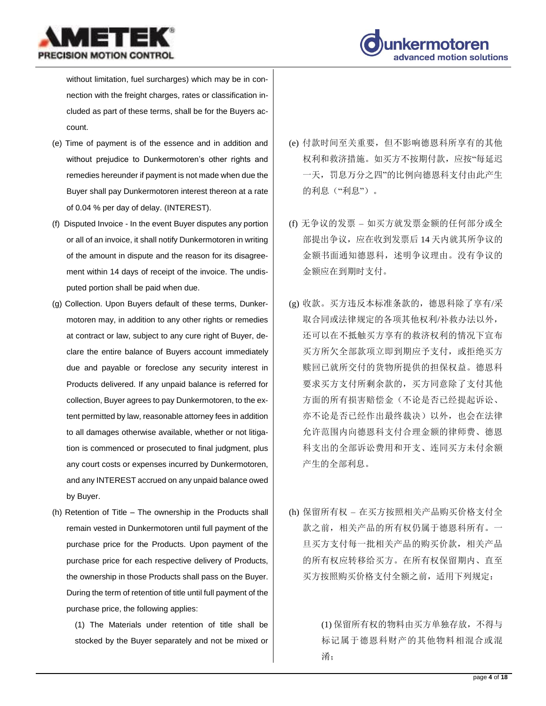



without limitation, fuel surcharges) which may be in connection with the freight charges, rates or classification included as part of these terms, shall be for the Buyers account.

- (e) Time of payment is of the essence and in addition and without prejudice to Dunkermotoren's other rights and remedies hereunder if payment is not made when due the Buyer shall pay Dunkermotoren interest thereon at a rate of 0.04 % per day of delay. (INTEREST).
- (f) Disputed Invoice In the event Buyer disputes any portion or all of an invoice, it shall notify Dunkermotoren in writing of the amount in dispute and the reason for its disagreement within 14 days of receipt of the invoice. The undisputed portion shall be paid when due.
- (g) Collection. Upon Buyers default of these terms, Dunkermotoren may, in addition to any other rights or remedies at contract or law, subject to any cure right of Buyer, declare the entire balance of Buyers account immediately due and payable or foreclose any security interest in Products delivered. If any unpaid balance is referred for collection, Buyer agrees to pay Dunkermotoren, to the extent permitted by law, reasonable attorney fees in addition to all damages otherwise available, whether or not litigation is commenced or prosecuted to final judgment, plus any court costs or expenses incurred by Dunkermotoren, and any INTEREST accrued on any unpaid balance owed by Buyer.
- (h) Retention of Title The ownership in the Products shall remain vested in Dunkermotoren until full payment of the purchase price for the Products. Upon payment of the purchase price for each respective delivery of Products, the ownership in those Products shall pass on the Buyer. During the term of retention of title until full payment of the purchase price, the following applies:

(1) The Materials under retention of title shall be stocked by the Buyer separately and not be mixed or

- (e) 付款时间至关重要,但不影响德恩科所享有的其他 权利和救济措施。如买方不按期付款,应按"每延迟 一天,罚息万分之四"的比例向德恩科支付由此产生 的利息("利息")。
- (f) 无争议的发票 如买方就发票金额的任何部分或全 部提出争议,应在收到发票后 14 天内就其所争议的 金额书面通知德恩科,述明争议理由。没有争议的 金额应在到期时支付。
- (g) 收款。买方违反本标准条款的,德恩科除了享有/采 取合同或法律规定的各项其他权利/补救办法以外, 还可以在不抵触买方享有的救济权利的情况下宣布 买方所欠全部款项立即到期应予支付,或拒绝买方 赎回已就所交付的货物所提供的担保权益。德恩科 要求买方支付所剩余款的,买方同意除了支付其他 方面的所有损害赔偿金(不论是否已经提起诉讼、 亦不论是否已经作出最终裁决)以外,也会在法律 允许范围内向德恩科支付合理金额的律师费、德恩 科支出的全部诉讼费用和开支、连同买方未付余额 产生的全部利息。
- (h) 保留所有权 在买方按照相关产品购买价格支付全 款之前,相关产品的所有权仍属于德恩科所有。一 旦买方支付每一批相关产品的购买价款,相关产品 的所有权应转移给买方。在所有权保留期内、直至 买方按照购买价格支付全额之前,适用下列规定:

(1) 保留所有权的物料由买方单独存放,不得与 标记属于德恩科财产的其他物料相混合或混 淆;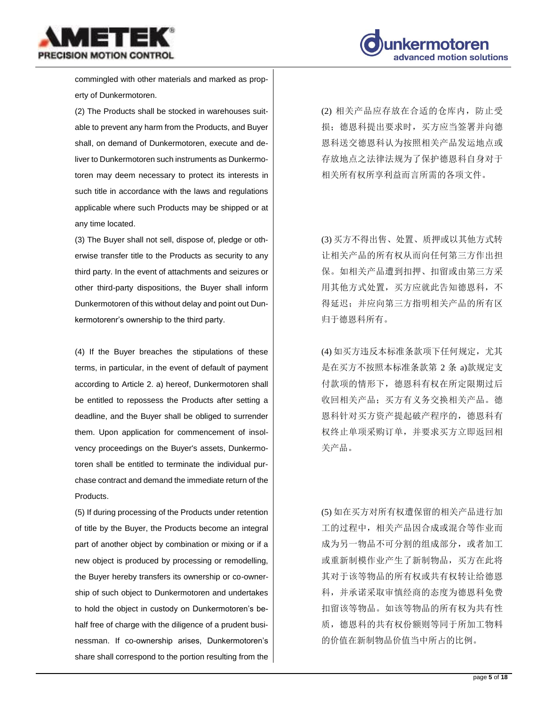



commingled with other materials and marked as property of Dunkermotoren.

(2) The Products shall be stocked in warehouses suitable to prevent any harm from the Products, and Buyer shall, on demand of Dunkermotoren, execute and deliver to Dunkermotoren such instruments as Dunkermotoren may deem necessary to protect its interests in such title in accordance with the laws and regulations applicable where such Products may be shipped or at any time located.

(3) The Buyer shall not sell, dispose of, pledge or otherwise transfer title to the Products as security to any third party. In the event of attachments and seizures or other third-party dispositions, the Buyer shall inform Dunkermotoren of this without delay and point out Dunkermotorenr's ownership to the third party.

(4) If the Buyer breaches the stipulations of these terms, in particular, in the event of default of payment according to Article 2. a) hereof, Dunkermotoren shall be entitled to repossess the Products after setting a deadline, and the Buyer shall be obliged to surrender them. Upon application for commencement of insolvency proceedings on the Buyer's assets, Dunkermotoren shall be entitled to terminate the individual purchase contract and demand the immediate return of the Products.

(5) If during processing of the Products under retention of title by the Buyer, the Products become an integral part of another object by combination or mixing or if a new object is produced by processing or remodelling, the Buyer hereby transfers its ownership or co-ownership of such object to Dunkermotoren and undertakes to hold the object in custody on Dunkermotoren's behalf free of charge with the diligence of a prudent businessman. If co-ownership arises, Dunkermotoren's share shall correspond to the portion resulting from the (2) 相关产品应存放在合适的仓库内,防止受 损;德恩科提出要求时,买方应当签署并向德 恩科送交德恩科认为按照相关产品发运地点或 存放地点之法律法规为了保护德恩科自身对于 相关所有权所享利益而言所需的各项文件。

(3) 买方不得出售、处置、质押或以其他方式转 让相关产品的所有权从而向任何第三方作出担 保。如相关产品遭到扣押、扣留或由第三方采 用其他方式处置,买方应就此告知德恩科,不 得延迟;并应向第三方指明相关产品的所有区 归于德恩科所有。

(4) 如买方违反本标准条款项下任何规定,尤其 是在买方不按照本标准条款第 2 条 a)款规定支 付款项的情形下,德恩科有权在所定限期过后 收回相关产品;买方有义务交换相关产品。德 恩科针对买方资产提起破产程序的,德恩科有 权终止单项采购订单,并要求买方立即返回相 关产品。

(5) 如在买方对所有权遭保留的相关产品进行加 工的过程中,相关产品因合成或混合等作业而 成为另一物品不可分割的组成部分,或者加工 或重新制模作业产生了新制物品,买方在此将 其对于该等物品的所有权或共有权转让给德恩 科,并承诺采取审慎经商的态度为德恩科免费 扣留该等物品。如该等物品的所有权为共有性 质,德恩科的共有权份额则等同于所加工物料 的价值在新制物品价值当中所占的比例。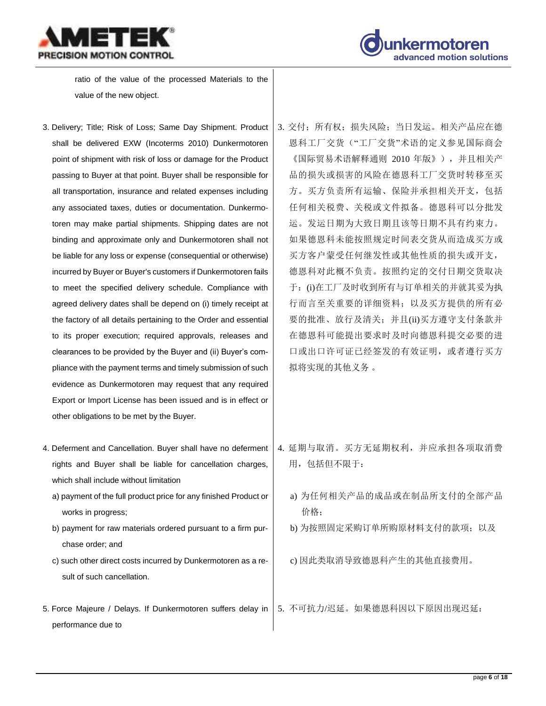



ratio of the value of the processed Materials to the value of the new object.

- 3. Delivery; Title; Risk of Loss; Same Day Shipment. Product shall be delivered EXW (Incoterms 2010) Dunkermotoren point of shipment with risk of loss or damage for the Product passing to Buyer at that point. Buyer shall be responsible for all transportation, insurance and related expenses including any associated taxes, duties or documentation. Dunkermotoren may make partial shipments. Shipping dates are not binding and approximate only and Dunkermotoren shall not be liable for any loss or expense (consequential or otherwise) incurred by Buyer or Buyer's customers if Dunkermotoren fails to meet the specified delivery schedule. Compliance with agreed delivery dates shall be depend on (i) timely receipt at the factory of all details pertaining to the Order and essential to its proper execution; required approvals, releases and clearances to be provided by the Buyer and (ii) Buyer's compliance with the payment terms and timely submission of such evidence as Dunkermotoren may request that any required Export or Import License has been issued and is in effect or other obligations to be met by the Buyer.
- 4. Deferment and Cancellation. Buyer shall have no deferment rights and Buyer shall be liable for cancellation charges, which shall include without limitation
	- a) payment of the full product price for any finished Product or works in progress;
	- b) payment for raw materials ordered pursuant to a firm purchase order; and
	- c) such other direct costs incurred by Dunkermotoren as a result of such cancellation.
- 5. Force Majeure / Delays. If Dunkermotoren suffers delay in performance due to
- 3. 交付: 所有权: 损失风险; 当日发运。相关产品应在德 恩科工厂交货("工厂交货"术语的定义参见国际商会 《国际贸易术语解释通则 2010 年版》),并且相关产 品的损失或损害的风险在德恩科工厂交货时转移至买 方。买方负责所有运输、保险并承担相关开支,包括 任何相关税费、关税或文件拟备。德恩科可以分批发 运。发运日期为大致日期且该等日期不具有约束力。 如果德恩科未能按照规定时间表交货从而造成买方或 买方客户蒙受任何继发性或其他性质的损失或开支, 德恩科对此概不负责。按照约定的交付日期交货取决 于: (i)在工厂及时收到所有与订单相关的并就其妥为执 行而言至关重要的详细资料;以及买方提供的所有必 要的批准、放行及清关;并且(ii)买方遵守支付条款并 在德恩科可能提出要求时及时向德恩科提交必要的进 口或出口许可证已经签发的有效证明,或者遵行买方 拟将实现的其他义务 。
- 4. 延期与取消。买方无延期权利,并应承担各项取消费 用,包括但不限于:
	- a) 为任何相关产品的成品或在制品所支付的全部产品 价格;
	- b) 为按照固定采购订单所购原材料支付的款项;以及
	- c) 因此类取消导致德恩科产生的其他直接费用。

5. 不可抗力/迟延。如果德恩科因以下原因出现迟延: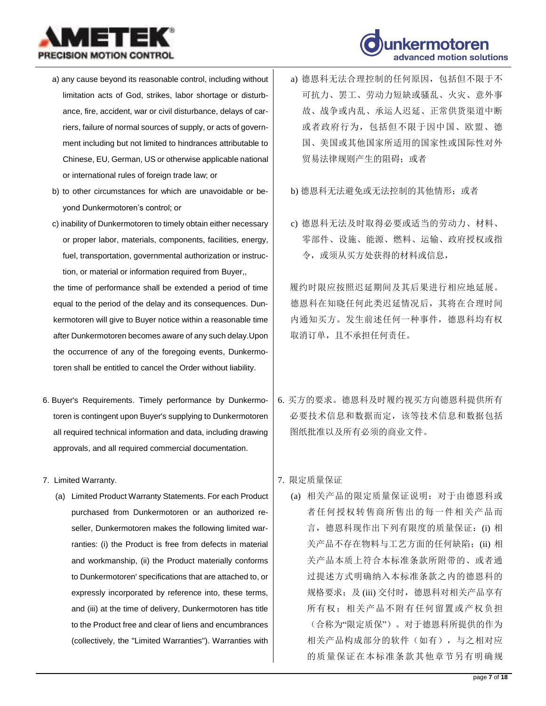



- a) any cause beyond its reasonable control, including without limitation acts of God, strikes, labor shortage or disturbance, fire, accident, war or civil disturbance, delays of carriers, failure of normal sources of supply, or acts of government including but not limited to hindrances attributable to Chinese, EU, German, US or otherwise applicable national or international rules of foreign trade law; or
- b) to other circumstances for which are unavoidable or beyond Dunkermotoren's control; or
- c) inability of Dunkermotoren to timely obtain either necessary or proper labor, materials, components, facilities, energy, fuel, transportation, governmental authorization or instruction, or material or information required from Buyer,,

the time of performance shall be extended a period of time equal to the period of the delay and its consequences. Dunkermotoren will give to Buyer notice within a reasonable time after Dunkermotoren becomes aware of any such delay.Upon the occurrence of any of the foregoing events, Dunkermotoren shall be entitled to cancel the Order without liability.

- 6. Buyer's Requirements. Timely performance by Dunkermotoren is contingent upon Buyer's supplying to Dunkermotoren all required technical information and data, including drawing approvals, and all required commercial documentation.
- 7. Limited Warranty.
	- (a) Limited Product Warranty Statements. For each Product purchased from Dunkermotoren or an authorized reseller, Dunkermotoren makes the following limited warranties: (i) the Product is free from defects in material and workmanship, (ii) the Product materially conforms to Dunkermotoren' specifications that are attached to, or expressly incorporated by reference into, these terms, and (iii) at the time of delivery, Dunkermotoren has title to the Product free and clear of liens and encumbrances (collectively, the "Limited Warranties"). Warranties with
- a) 德恩科无法合理控制的任何原因,包括但不限于不 可抗力、罢工、劳动力短缺或骚乱、火灾、意外事 故、战争或内乱、承运人迟延、正常供货渠道中断 或者政府行为,包括但不限于因中国、欧盟、德 国、美国或其他国家所适用的国家性或国际性对外 贸易法律规则产生的阻碍;或者
- b) 德恩科无法避免或无法控制的其他情形; 或者
- c) 德恩科无法及时取得必要或适当的劳动力、材料、 零部件、设施、能源、燃料、运输、政府授权或指 令,或须从买方处获得的材料或信息,

履约时限应按照迟延期间及其后果进行相应地延展。 德恩科在知晓任何此类迟延情况后,其将在合理时间 内通知买方。发生前述任何一种事件,德恩科均有权 取消订单,且不承担任何责任。

- 6. 买方的要求。德恩科及时履约视买方向德恩科提供所有 必要技术信息和数据而定,该等技术信息和数据包括 图纸批准以及所有必须的商业文件。
- 7. 限定质量保证
	- (a) 相关产品的限定质量保证说明:对于由德恩科或 者任何授权转售商所售出的每一件相关产品而 言,德恩科现作出下列有限度的质量保证:(i) 相 关产品不存在物料与工艺方面的任何缺陷;(ii) 相 关产品本质上符合本标准条款所附带的、或者通 过提述方式明确纳入本标准条款之内的德恩科的 规格要求;及 (iii) 交付时,德恩科对相关产品享有 所有权;相关产品不附有任何留置或产权负担 (合称为"限定质保")。对于德恩科所提供的作为 相关产品构成部分的软件(如有),与之相对应 的质量保证在本标准条款其他章节另有明确规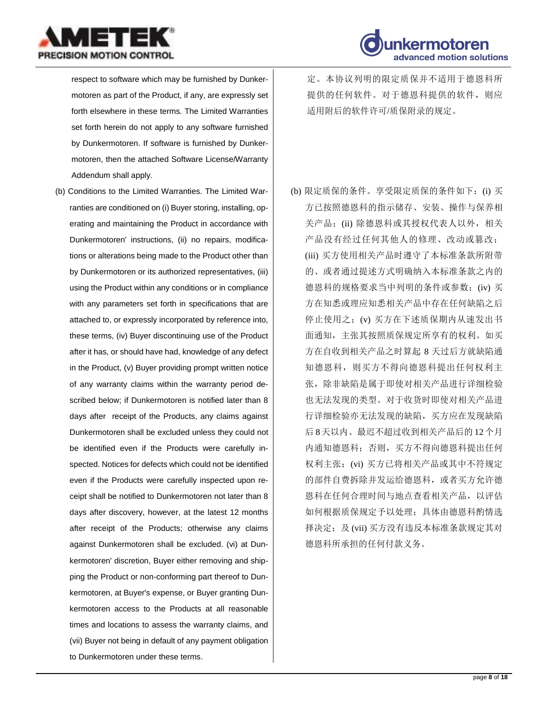



respect to software which may be furnished by Dunkermotoren as part of the Product, if any, are expressly set forth elsewhere in these terms. The Limited Warranties set forth herein do not apply to any software furnished by Dunkermotoren. If software is furnished by Dunkermotoren, then the attached Software License/Warranty Addendum shall apply.

(b) Conditions to the Limited Warranties. The Limited Warranties are conditioned on (i) Buyer storing, installing, operating and maintaining the Product in accordance with Dunkermotoren' instructions, (ii) no repairs, modifications or alterations being made to the Product other than by Dunkermotoren or its authorized representatives, (iii) using the Product within any conditions or in compliance with any parameters set forth in specifications that are attached to, or expressly incorporated by reference into, these terms, (iv) Buyer discontinuing use of the Product after it has, or should have had, knowledge of any defect in the Product, (v) Buyer providing prompt written notice of any warranty claims within the warranty period described below; if Dunkermotoren is notified later than 8 days after receipt of the Products, any claims against Dunkermotoren shall be excluded unless they could not be identified even if the Products were carefully inspected. Notices for defects which could not be identified even if the Products were carefully inspected upon receipt shall be notified to Dunkermotoren not later than 8 days after discovery, however, at the latest 12 months after receipt of the Products; otherwise any claims against Dunkermotoren shall be excluded. (vi) at Dunkermotoren' discretion, Buyer either removing and shipping the Product or non-conforming part thereof to Dunkermotoren, at Buyer's expense, or Buyer granting Dunkermotoren access to the Products at all reasonable times and locations to assess the warranty claims, and (vii) Buyer not being in default of any payment obligation to Dunkermotoren under these terms.

定。本协议列明的限定质保并不适用于德恩科所 提供的任何软件。对于德恩科提供的软件, 则应 适用附后的软件许可/质保附录的规定。

(b) 限定质保的条件。享受限定质保的条件如下:(i) 买 方已按照德恩科的指示储存、安装、操作与保养相 关产品;(ii) 除德恩科或其授权代表人以外, 相关 产品没有经过任何其他人的修理、改动或篡改; (iii) 买方使用相关产品时遵守了本标准条款所附带 的、或者通过提述方式明确纳入本标准条款之内的 德恩科的规格要求当中列明的条件或参数;(iv) 买 方在知悉或理应知悉相关产品中存在任何缺陷之后 停止使用之;(v) 买方在下述质保期内从速发出书 面通知,主张其按照质保规定所享有的权利。如买 方在自收到相关产品之时算起 8 天过后方就缺陷通 知德恩科,则买方不得向德恩科提出任何权利主 张,除非缺陷是属于即使对相关产品进行详细检验 也无法发现的类型。对于收货时即使对相关产品进 行详细检验亦无法发现的缺陷,买方应在发现缺陷 后 8天以内、最迟不超过收到相关产品后的 12个月 内通知德恩科;否则,买方不得向德恩科提出任何 权利主张;(vi) 买方已将相关产品或其中不符规定 的部件自费拆除并发运给德恩科,或者买方允许德 恩科在任何合理时间与地点查看相关产品,以评估 如何根据质保规定予以处理;具体由德恩科酌情选 择决定;及 (vii) 买方没有违反本标准条款规定其对 德恩科所承担的任何付款义务。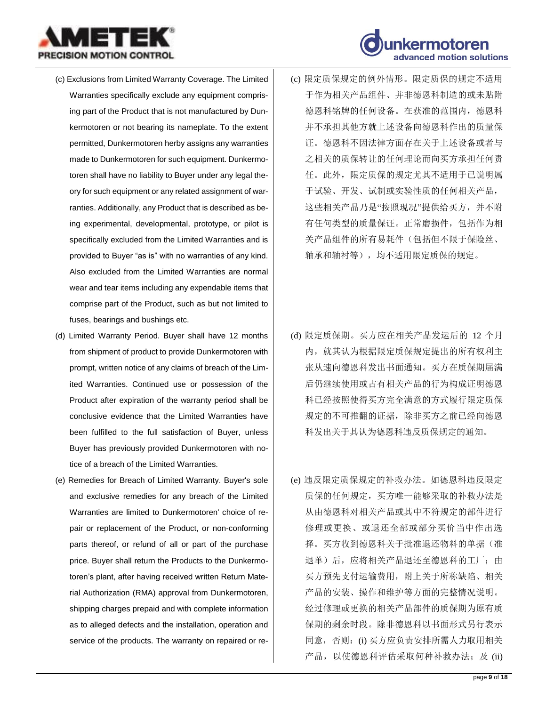

- (c) Exclusions from Limited Warranty Coverage. The Limited Warranties specifically exclude any equipment comprising part of the Product that is not manufactured by Dunkermotoren or not bearing its nameplate. To the extent permitted, Dunkermotoren herby assigns any warranties made to Dunkermotoren for such equipment. Dunkermotoren shall have no liability to Buyer under any legal theory for such equipment or any related assignment of warranties. Additionally, any Product that is described as being experimental, developmental, prototype, or pilot is specifically excluded from the Limited Warranties and is provided to Buyer "as is" with no warranties of any kind. Also excluded from the Limited Warranties are normal wear and tear items including any expendable items that comprise part of the Product, such as but not limited to fuses, bearings and bushings etc.
- (d) Limited Warranty Period. Buyer shall have 12 months from shipment of product to provide Dunkermotoren with prompt, written notice of any claims of breach of the Limited Warranties. Continued use or possession of the Product after expiration of the warranty period shall be conclusive evidence that the Limited Warranties have been fulfilled to the full satisfaction of Buyer, unless Buyer has previously provided Dunkermotoren with notice of a breach of the Limited Warranties.
- (e) Remedies for Breach of Limited Warranty. Buyer's sole and exclusive remedies for any breach of the Limited Warranties are limited to Dunkermotoren' choice of repair or replacement of the Product, or non-conforming parts thereof, or refund of all or part of the purchase price. Buyer shall return the Products to the Dunkermotoren's plant, after having received written Return Material Authorization (RMA) approval from Dunkermotoren, shipping charges prepaid and with complete information as to alleged defects and the installation, operation and service of the products. The warranty on repaired or re-

(c) 限定质保规定的例外情形。限定质保的规定不适用 于作为相关产品组件、并非德恩科制造的或未贴附 德恩科铭牌的任何设备。在获准的范围内,德恩科 并不承担其他方就上述设备向德恩科作出的质量保 证。德恩科不因法律方面存在关于上述设备或者与 之相关的质保转让的任何理论而向买方承担任何责 任。此外,限定质保的规定尤其不适用于已说明属 于试验、开发、试制或实验性质的任何相关产品, 这些相关产品乃是"按照现况"提供给买方,并不附 有任何类型的质量保证。正常磨损件,包括作为相 关产品组件的所有易耗件(包括但不限于保险丝、 轴承和轴衬等),均不适用限定质保的规定。

advanced motion solutions

- (d) 限定质保期。买方应在相关产品发运后的 12 个月 内,就其认为根据限定质保规定提出的所有权利主 张从速向德恩科发出书面通知。买方在质保期届满 后仍继续使用或占有相关产品的行为构成证明德恩 科已经按照使得买方完全满意的方式履行限定质保 规定的不可推翻的证据,除非买方之前已经向德恩 科发出关于其认为德恩科违反质保规定的通知。
- (e) 违反限定质保规定的补救办法。如德恩科违反限定 质保的任何规定,买方唯一能够采取的补救办法是 从由德恩科对相关产品或其中不符规定的部件进行 修理或更换、或退还全部或部分买价当中作出选 择。买方收到德恩科关于批准退还物料的单据(准 退单)后,应将相关产品退还至德恩科的工厂;由 买方预先支付运输费用,附上关于所称缺陷、相关 产品的安装、操作和维护等方面的完整情况说明。 经过修理或更换的相关产品部件的质保期为原有质 保期的剩余时段。除非德恩科以书面形式另行表示 同意,否则:(i) 买方应负责安排所需人力取用相关 产品, 以使德恩科评估采取何种补救办法;及(ii)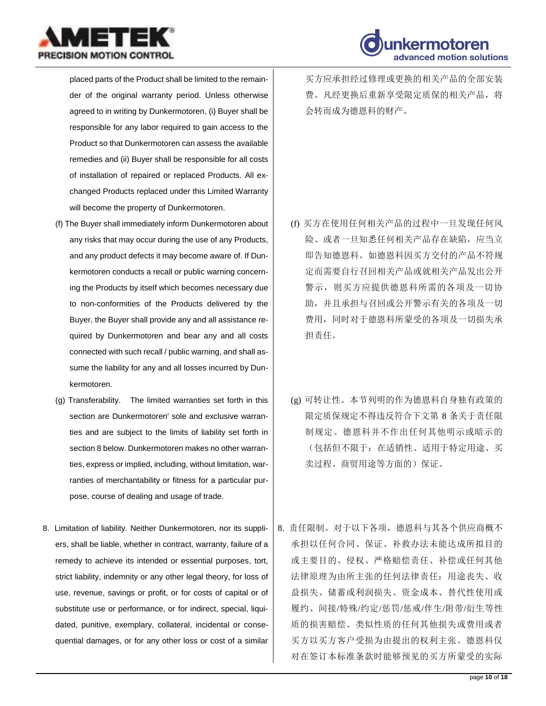



placed parts of the Product shall be limited to the remainder of the original warranty period. Unless otherwise agreed to in writing by Dunkermotoren, (i) Buyer shall be responsible for any labor required to gain access to the Product so that Dunkermotoren can assess the available remedies and (ii) Buyer shall be responsible for all costs of installation of repaired or replaced Products. All exchanged Products replaced under this Limited Warranty will become the property of Dunkermotoren.

- (f) The Buyer shall immediately inform Dunkermotoren about any risks that may occur during the use of any Products, and any product defects it may become aware of. If Dunkermotoren conducts a recall or public warning concerning the Products by itself which becomes necessary due to non-conformities of the Products delivered by the Buyer, the Buyer shall provide any and all assistance required by Dunkermotoren and bear any and all costs connected with such recall / public warning, and shall assume the liability for any and all losses incurred by Dunkermotoren.
- (g) Transferability. The limited warranties set forth in this section are Dunkermotoren' sole and exclusive warranties and are subject to the limits of liability set forth in section 8 below. Dunkermotoren makes no other warranties, express or implied, including, without limitation, warranties of merchantability or fitness for a particular purpose, course of dealing and usage of trade.
- 8. Limitation of liability. Neither Dunkermotoren, nor its suppliers, shall be liable, whether in contract, warranty, failure of a remedy to achieve its intended or essential purposes, tort, strict liability, indemnity or any other legal theory, for loss of use, revenue, savings or profit, or for costs of capital or of substitute use or performance, or for indirect, special, liquidated, punitive, exemplary, collateral, incidental or consequential damages, or for any other loss or cost of a similar

买方应承担经过修理或更换的相关产品的全部安装 费。凡经更换后重新享受限定质保的相关产品,将 会转而成为德恩科的财产。

- (f) 买方在使用任何相关产品的过程中一旦发现任何风 险、或者一旦知悉任何相关产品存在缺陷,应当立 即告知德恩科。如德恩科因买方交付的产品不符规 定而需要自行召回相关产品或就相关产品发出公开 警示,则买方应提供德恩科所需的各项及一切协 助,并且承担与召回或公开警示有关的各项及一切 费用,同时对于德恩科所蒙受的各项及一切损失承 担责任。
- (g) 可转让性。本节列明的作为德恩科自身独有政策的 限定质保规定不得违反符合下文第 8 条关于责任限 制规定。德恩科并不作出任何其他明示或暗示的 (包括但不限于:在适销性、适用于特定用途、买 卖过程、商贸用途等方面的)保证。
- 8. 责任限制。对于以下各项,德恩科与其各个供应商概不 承担以任何合同、保证、补救办法未能达成所拟目的 或主要目的、侵权、严格赔偿责任、补偿或任何其他 法律原理为由所主张的任何法律责任:用途丧失、收 益损失、储蓄或利润损失、资金成本、替代性使用或 履约、间接/特殊/约定/惩罚/惩戒/伴生/附带/衍生等性 质的损害赔偿、类似性质的任何其他损失或费用或者 买方以买方客户受损为由提出的权利主张。德恩科仅 对在签订本标准条款时能够预见的买方所蒙受的实际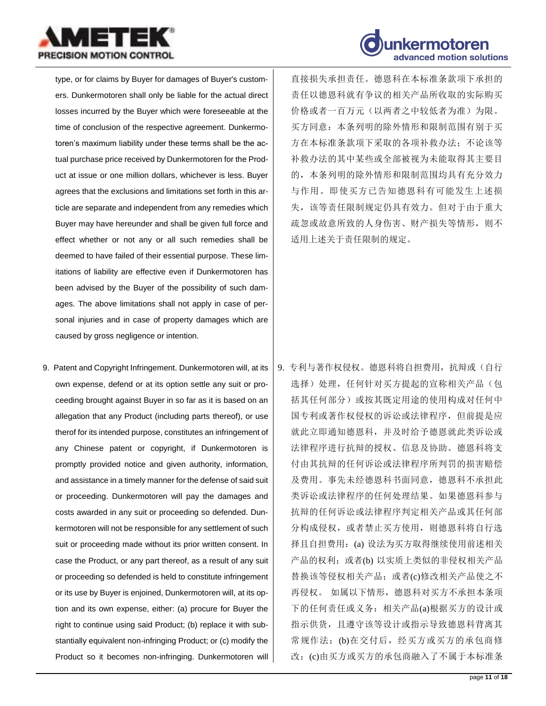



type, or for claims by Buyer for damages of Buyer's customers. Dunkermotoren shall only be liable for the actual direct losses incurred by the Buyer which were foreseeable at the time of conclusion of the respective agreement. Dunkermotoren's maximum liability under these terms shall be the actual purchase price received by Dunkermotoren for the Product at issue or one million dollars, whichever is less. Buyer agrees that the exclusions and limitations set forth in this article are separate and independent from any remedies which Buyer may have hereunder and shall be given full force and effect whether or not any or all such remedies shall be deemed to have failed of their essential purpose. These limitations of liability are effective even if Dunkermotoren has been advised by the Buyer of the possibility of such damages. The above limitations shall not apply in case of personal injuries and in case of property damages which are caused by gross negligence or intention.

9. Patent and Copyright Infringement. Dunkermotoren will, at its own expense, defend or at its option settle any suit or proceeding brought against Buyer in so far as it is based on an allegation that any Product (including parts thereof), or use therof for its intended purpose, constitutes an infringement of any Chinese patent or copyright, if Dunkermotoren is promptly provided notice and given authority, information, and assistance in a timely manner for the defense of said suit or proceeding. Dunkermotoren will pay the damages and costs awarded in any suit or proceeding so defended. Dunkermotoren will not be responsible for any settlement of such suit or proceeding made without its prior written consent. In case the Product, or any part thereof, as a result of any suit or proceeding so defended is held to constitute infringement or its use by Buyer is enjoined, Dunkermotoren will, at its option and its own expense, either: (a) procure for Buyer the right to continue using said Product; (b) replace it with substantially equivalent non-infringing Product; or (c) modify the Product so it becomes non-infringing. Dunkermotoren will 直接损失承担责任。德恩科在本标准条款项下承担的 责任以德恩科就有争议的相关产品所收取的实际购买 价格或者一百万元(以两者之中较低者为准)为限。 买方同意:本条列明的除外情形和限制范围有别于买 方在本标准条款项下采取的各项补救办法;不论该等 补救办法的其中某些或全部被视为未能取得其主要目 的,本条列明的除外情形和限制范围均具有充分效力 与作用。即使买方已告知德恩科有可能发生上述损 失,该等责任限制规定仍具有效力。但对于由于重大 疏忽或故意所致的人身伤害、财产损失等情形,则不 适用上述关于责任限制的规定。

9. 专利与著作权侵权。德恩科将自担费用,抗辩或(自行 选择)处理,任何针对买方提起的宣称相关产品(包 括其任何部分)或按其既定用途的使用构成对任何中 国专利或著作权侵权的诉讼或法律程序,但前提是应 就此立即通知德恩科,并及时给予德恩就此类诉讼或 法律程序进行抗辩的授权、信息及协助。德恩科将支 付由其抗辩的任何诉讼或法律程序所判罚的损害赔偿 及费用。事先未经德恩科书面同意,德恩科不承担此 类诉讼或法律程序的任何处理结果。如果德恩科参与 抗辩的任何诉讼或法律程序判定相关产品或其任何部 分构成侵权,或者禁止买方使用,则德恩科将自行选 择且自担费用:(a) 设法为买方取得继续使用前述相关 产品的权利;或者(b) 以实质上类似的非侵权相关产品 替换该等侵权相关产品;或者(c)修改相关产品使之不 再侵权。 如属以下情形,德恩科对买方不承担本条项 下的任何责任或义务:相关产品(a)根据买方的设计或 指示供货,且遵守该等设计或指示导致德恩科背离其 常规作法;(b)在交付后,经买方或买方的承包商修 改;(c)由买方或买方的承包商融入了不属于本标准条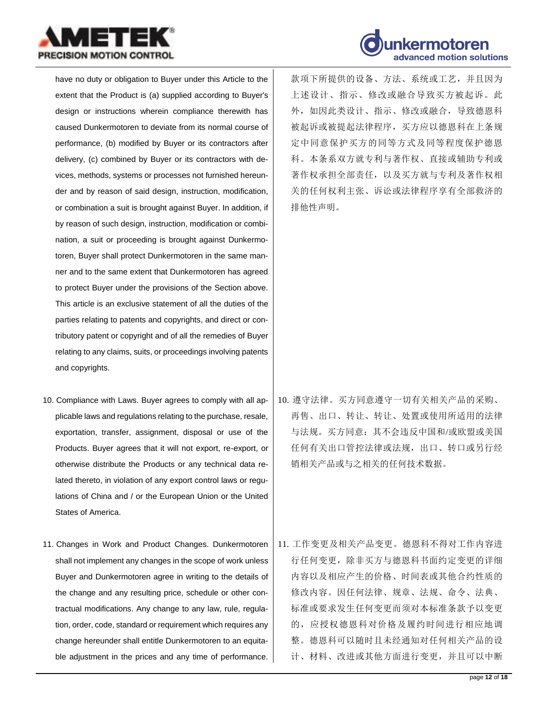



have no duty or obligation to Buyer under this Article to the extent that the Product is (a) supplied according to Buyer's design or instructions wherein compliance therewith has caused Dunkermotoren to deviate from its normal course of performance, (b) modified by Buyer or its contractors after delivery, (c) combined by Buyer or its contractors with devices, methods, systems or processes not furnished hereunder and by reason of said design, instruction, modification, or combination a suit is brought against Buyer. In addition, if by reason of such design, instruction, modification or combination, a suit or proceeding is brought against Dunkermotoren, Buyer shall protect Dunkermotoren in the same manner and to the same extent that Dunkermotoren has agreed to protect Buyer under the provisions of the Section above. This article is an exclusive statement of all the duties of the parties relating to patents and copyrights, and direct or contributory patent or copyright and of all the remedies of Buyer relating to any claims, suits, or proceedings involving patents and copyrights.

- 10. Compliance with Laws. Buyer agrees to comply with all applicable laws and regulations relating to the purchase, resale, exportation, transfer, assignment, disposal or use of the Products. Buyer agrees that it will not export, re-export, or otherwise distribute the Products or any technical data related thereto, in violation of any export control laws or regulations of China and / or the European Union or the United States of America.
- 11. Changes in Work and Product Changes. Dunkermotoren shall not implement any changes in the scope of work unless Buyer and Dunkermotoren agree in writing to the details of the change and any resulting price, schedule or other contractual modifications. Any change to any law, rule, regulation, order, code, standard or requirement which requires any change hereunder shall entitle Dunkermotoren to an equitable adjustment in the prices and any time of performance.

款项下所提供的设备、方法、系统或工艺,并且因为 上述设计、指示、修改或融合导致买方被起诉。此 外,如因此类设计、指示、修改或融合,导致德恩科 被起诉或被提起法律程序,买方应以德恩科在上条规 定中同意保护买方的同等方式及同等程度保护德恩 科。本条系双方就专利与著作权、直接或辅助专利或 著作权承担全部责任,以及买方就与专利及著作权相 关的任何权利主张、诉讼或法律程序享有全部救济的 排他性声明。

- 10. 遵守法律。买方同意遵守一切有关相关产品的采购、 再售、出口、转让、转让、处置或使用所适用的法律 与法规。买方同意:其不会违反中国和/或欧盟或美国 任何有关出口管控法律或法规,出口、转口或另行经 销相关产品或与之相关的任何技术数据。
- 11. 工作变更及相关产品变更。德恩科不得对工作内容进 行任何变更,除非买方与德恩科书面约定变更的详细 内容以及相应产生的价格、时间表或其他合约性质的 修改内容。因任何法律、规章、法规、命令、法典、 标准或要求发生任何变更而须对本标准条款予以变更 的,应授权德恩科对价格及履约时间进行相应地调 整。德恩科可以随时且未经通知对任何相关产品的设 计、材料、改进或其他方面进行变更,并且可以中断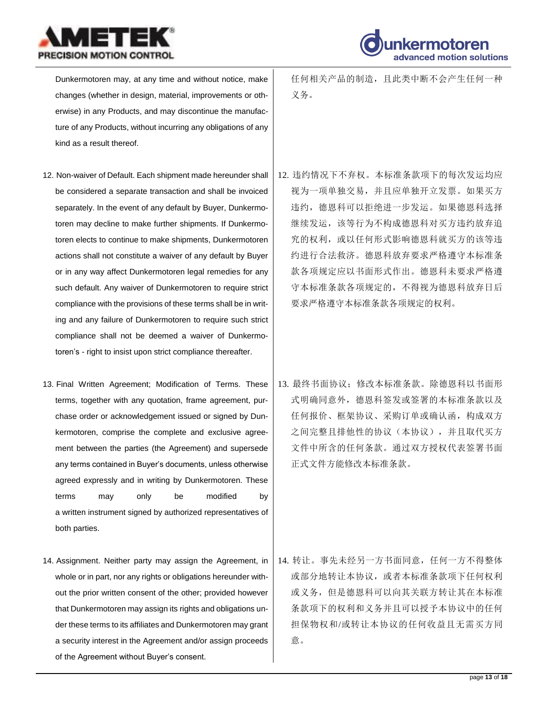



Dunkermotoren may, at any time and without notice, make changes (whether in design, material, improvements or otherwise) in any Products, and may discontinue the manufacture of any Products, without incurring any obligations of any kind as a result thereof.

- 12. Non-waiver of Default. Each shipment made hereunder shall be considered a separate transaction and shall be invoiced separately. In the event of any default by Buyer, Dunkermotoren may decline to make further shipments. If Dunkermotoren elects to continue to make shipments, Dunkermotoren actions shall not constitute a waiver of any default by Buyer or in any way affect Dunkermotoren legal remedies for any such default. Any waiver of Dunkermotoren to require strict compliance with the provisions of these terms shall be in writing and any failure of Dunkermotoren to require such strict compliance shall not be deemed a waiver of Dunkermotoren's - right to insist upon strict compliance thereafter.
- 13. Final Written Agreement; Modification of Terms. These terms, together with any quotation, frame agreement, purchase order or acknowledgement issued or signed by Dunkermotoren, comprise the complete and exclusive agreement between the parties (the Agreement) and supersede any terms contained in Buyer's documents, unless otherwise agreed expressly and in writing by Dunkermotoren. These terms may only be modified by a written instrument signed by authorized representatives of both parties.
- 14. Assignment. Neither party may assign the Agreement, in whole or in part, nor any rights or obligations hereunder without the prior written consent of the other; provided however that Dunkermotoren may assign its rights and obligations under these terms to its affiliates and Dunkermotoren may grant a security interest in the Agreement and/or assign proceeds of the Agreement without Buyer's consent.

任何相关产品的制造,且此类中断不会产生任何一种 义务。

- 12. 违约情况下不弃权。本标准条款项下的每次发运均应 视为一项单独交易,并且应单独开立发票。如果买方 违约,德恩科可以拒绝进一步发运。如果德恩科选择 继续发运,该等行为不构成德恩科对买方违约放弃追 究的权利,或以任何形式影响德恩科就买方的该等违 约进行合法救济。德恩科放弃要求严格遵守本标准条 款各项规定应以书面形式作出。德恩科未要求严格遵 守本标准条款各项规定的,不得视为德恩科放弃日后 要求严格遵守本标准条款各项规定的权利。
- 13. 最终书面协议;修改本标准条款。除德恩科以书面形 式明确同意外,德恩科签发或签署的本标准条款以及 任何报价、框架协议、采购订单或确认函,构成双方 之间完整且排他性的协议(本协议),并且取代买方 文件中所含的任何条款。通过双方授权代表签署书面 正式文件方能修改本标准条款。

14. 转让。事先未经另一方书面同意,任何一方不得整体 或部分地转让本协议,或者本标准条款项下任何权利 或义务,但是德恩科可以向其关联方转让其在本标准 条款项下的权利和义务并且可以授予本协议中的任何 担保物权和/或转让本协议的任何收益且无需买方同 意。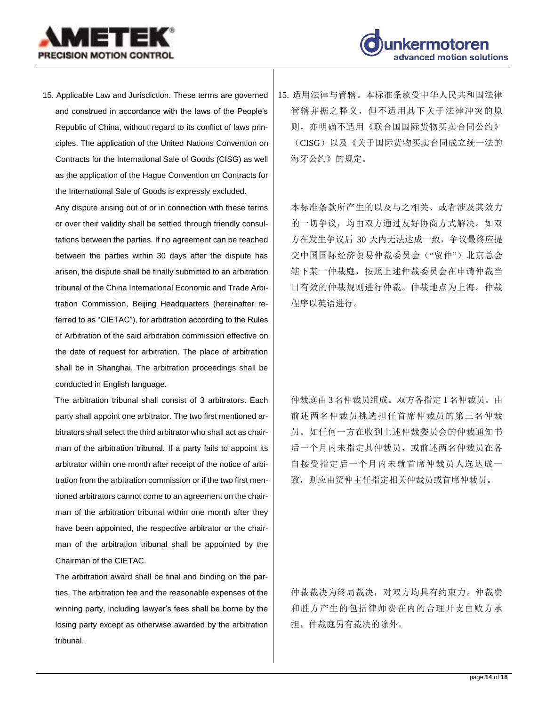



15. Applicable Law and Jurisdiction. These terms are governed and construed in accordance with the laws of the People's Republic of China, without regard to its conflict of laws principles. The application of the United Nations Convention on Contracts for the International Sale of Goods (CISG) as well as the application of the Hague Convention on Contracts for the International Sale of Goods is expressly excluded.

Any dispute arising out of or in connection with these terms or over their validity shall be settled through friendly consultations between the parties. If no agreement can be reached between the parties within 30 days after the dispute has arisen, the dispute shall be finally submitted to an arbitration tribunal of the China International Economic and Trade Arbitration Commission, Beijing Headquarters (hereinafter referred to as "CIETAC"), for arbitration according to the Rules of Arbitration of the said arbitration commission effective on the date of request for arbitration. The place of arbitration shall be in Shanghai. The arbitration proceedings shall be conducted in English language.

The arbitration tribunal shall consist of 3 arbitrators. Each party shall appoint one arbitrator. The two first mentioned arbitrators shall select the third arbitrator who shall act as chairman of the arbitration tribunal. If a party fails to appoint its arbitrator within one month after receipt of the notice of arbitration from the arbitration commission or if the two first mentioned arbitrators cannot come to an agreement on the chairman of the arbitration tribunal within one month after they have been appointed, the respective arbitrator or the chairman of the arbitration tribunal shall be appointed by the Chairman of the CIETAC.

The arbitration award shall be final and binding on the parties. The arbitration fee and the reasonable expenses of the winning party, including lawyer's fees shall be borne by the losing party except as otherwise awarded by the arbitration tribunal.

15. 适用法律与管辖。本标准条款受中华人民共和国法律 管辖并据之释义,但不适用其下关于法律冲突的原 则,亦明确不适用《联合国国际货物买卖合同公约》 (CISG)以及《关于国际货物买卖合同成立统一法的 海牙公约》的规定。

本标准条款所产生的以及与之相关、或者涉及其效力 的一切争议,均由双方通过友好协商方式解决。如双 方在发生争议后 30 天内无法达成一致,争议最终应提 交中国国际经济贸易仲裁委员会("贸仲")北京总会 辖下某一仲裁庭,按照上述仲裁委员会在申请仲裁当 日有效的仲裁规则进行仲裁。仲裁地点为上海。仲裁 程序以英语进行。

仲裁庭由 3 名仲裁员组成。双方各指定 1 名仲裁员。由 前述两名仲裁员挑选担任首席仲裁员的第三名仲裁 员。如任何一方在收到上述仲裁委员会的仲裁通知书 后一个月内未指定其仲裁员,或前述两名仲裁员在各 自接受指定后一个月内未就首席仲裁员人选达成一 致,则应由贸仲主任指定相关仲裁员或首席仲裁员。

仲裁裁决为终局裁决,对双方均具有约束力。仲裁费 和胜方产生的包括律师费在内的合理开支由败方承 担,仲裁庭另有裁决的除外。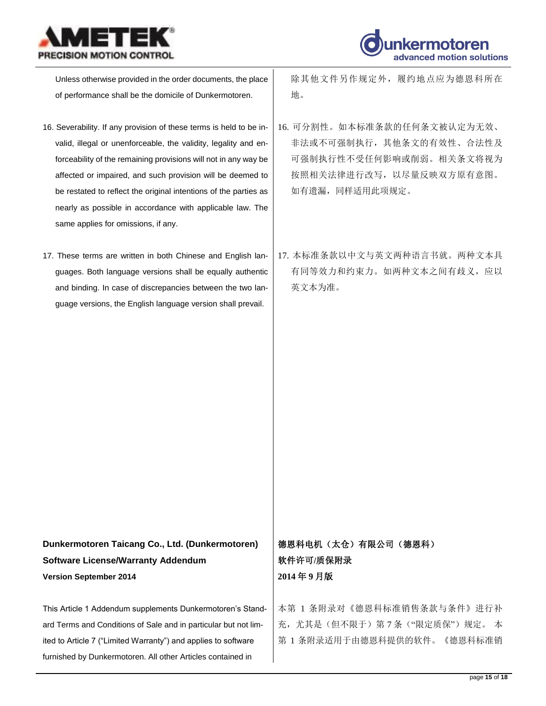



Unless otherwise provided in the order documents, the place of performance shall be the domicile of Dunkermotoren.

- 16. Severability. If any provision of these terms is held to be invalid, illegal or unenforceable, the validity, legality and enforceability of the remaining provisions will not in any way be affected or impaired, and such provision will be deemed to be restated to reflect the original intentions of the parties as nearly as possible in accordance with applicable law. The same applies for omissions, if any.
- 17. These terms are written in both Chinese and English languages. Both language versions shall be equally authentic and binding. In case of discrepancies between the two language versions, the English language version shall prevail.

除其他文件另作规定外,履约地点应为德恩科所在 地。

- 16. 可分割性。如本标准条款的任何条文被认定为无效、 非法或不可强制执行,其他条文的有效性、合法性及 可强制执行性不受任何影响或削弱。相关条文将视为 按照相关法律进行改写,以尽量反映双方原有意图。 如有遗漏,同样适用此项规定。
- 17. 本标准条款以中文与英文两种语言书就。两种文本具 有同等效力和约束力。如两种文本之间有歧义,应以 英文本为准。

## **Dunkermotoren Taicang Co., Ltd. (Dunkermotoren) Software License/Warranty Addendum Version September 2014**

This Article 1 Addendum supplements Dunkermotoren's Standard Terms and Conditions of Sale and in particular but not limited to Article 7 ("Limited Warranty") and applies to software furnished by Dunkermotoren. All other Articles contained in

## 德恩科电机(太仓)有限公司(德恩科) 软件许可**/**质保附录 **2014** 年 **9** 月版

本第 1 条附录对《德恩科标准销售条款与条件》进行补 充,尤其是(但不限于)第7条("限定质保")规定。本 第 1 条附录适用于由德恩科提供的软件。《德恩科标准销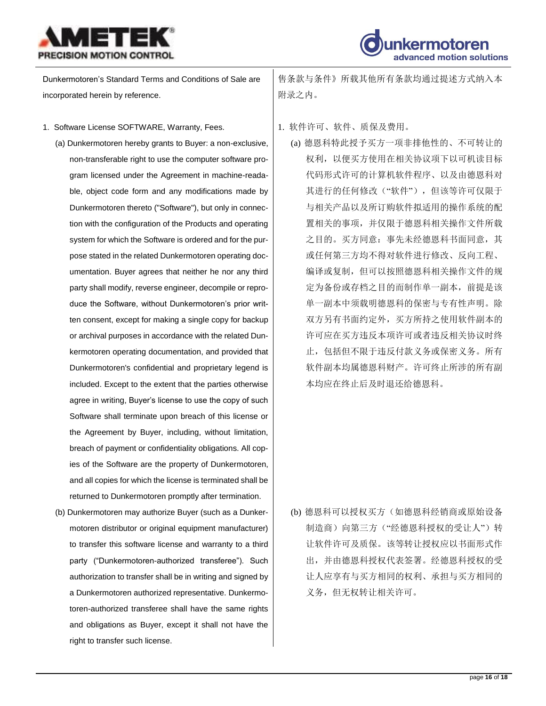



Dunkermotoren's Standard Terms and Conditions of Sale are incorporated herein by reference.

- 1. Software License SOFTWARE, Warranty, Fees.  $\qquad \qquad$  1. 软件许可、软件、质保及费用。
	- (a) Dunkermotoren hereby grants to Buyer: a non-exclusive, non-transferable right to use the computer software program licensed under the Agreement in machine-readable, object code form and any modifications made by Dunkermotoren thereto ("Software"), but only in connection with the configuration of the Products and operating system for which the Software is ordered and for the purpose stated in the related Dunkermotoren operating documentation. Buyer agrees that neither he nor any third party shall modify, reverse engineer, decompile or reproduce the Software, without Dunkermotoren's prior written consent, except for making a single copy for backup or archival purposes in accordance with the related Dunkermotoren operating documentation, and provided that Dunkermotoren's confidential and proprietary legend is included. Except to the extent that the parties otherwise agree in writing, Buyer's license to use the copy of such Software shall terminate upon breach of this license or the Agreement by Buyer, including, without limitation, breach of payment or confidentiality obligations. All copies of the Software are the property of Dunkermotoren, and all copies for which the license is terminated shall be returned to Dunkermotoren promptly after termination.
	- (b) Dunkermotoren may authorize Buyer (such as a Dunkermotoren distributor or original equipment manufacturer) to transfer this software license and warranty to a third party ("Dunkermotoren-authorized transferee"). Such authorization to transfer shall be in writing and signed by a Dunkermotoren authorized representative. Dunkermotoren-authorized transferee shall have the same rights and obligations as Buyer, except it shall not have the right to transfer such license.

售条款与条件》所载其他所有条款均通过提述方式纳入本 附录之内。

- - (a) 德恩科特此授予买方一项非排他性的、不可转让的 权利,以便买方使用在相关协议项下以可机读目标 代码形式许可的计算机软件程序、以及由德恩科对 其进行的任何修改("软件"),但该等许可仅限于 与相关产品以及所订购软件拟适用的操作系统的配 置相关的事项,并仅限于德恩科相关操作文件所载 之目的。买方同意:事先未经德恩科书面同意,其 或任何第三方均不得对软件进行修改、反向工程、 编译或复制,但可以按照德恩科相关操作文件的规 定为备份或存档之目的而制作单一副本,前提是该 单一副本中须载明德恩科的保密与专有性声明。除 双方另有书面约定外,买方所持之使用软件副本的 许可应在买方违反本项许可或者违反相关协议时终 止,包括但不限于违反付款义务或保密义务。所有 软件副本均属德恩科财产。许可终止所涉的所有副 本均应在终止后及时退还给德恩科。

(b) 德恩科可以授权买方(如德恩科经销商或原始设备 制造商)向第三方("经德恩科授权的受让人")转 让软件许可及质保。该等转让授权应以书面形式作 出,并由德恩科授权代表签署。经德恩科授权的受 让人应享有与买方相同的权利、承担与买方相同的 义务,但无权转让相关许可。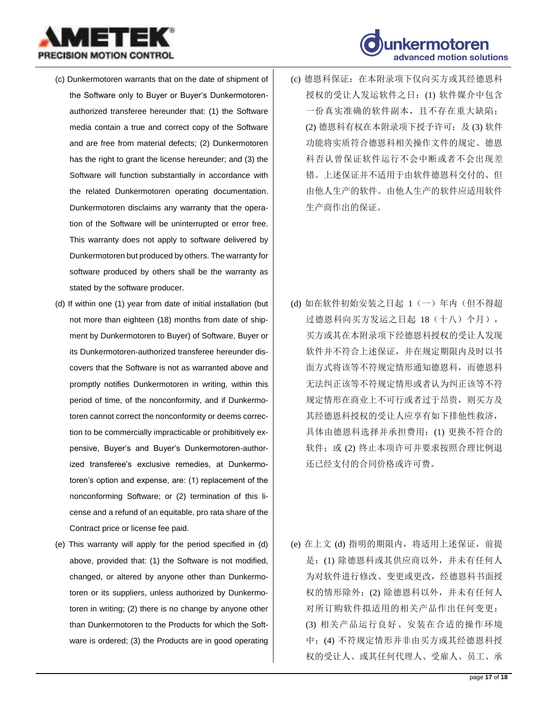

- (c) Dunkermotoren warrants that on the date of shipment of the Software only to Buyer or Buyer's Dunkermotorenauthorized transferee hereunder that: (1) the Software media contain a true and correct copy of the Software and are free from material defects; (2) Dunkermotoren has the right to grant the license hereunder; and (3) the Software will function substantially in accordance with the related Dunkermotoren operating documentation. Dunkermotoren disclaims any warranty that the operation of the Software will be uninterrupted or error free. This warranty does not apply to software delivered by Dunkermotoren but produced by others. The warranty for software produced by others shall be the warranty as stated by the software producer.
- (d) If within one (1) year from date of initial installation (but not more than eighteen (18) months from date of shipment by Dunkermotoren to Buyer) of Software, Buyer or its Dunkermotoren-authorized transferee hereunder discovers that the Software is not as warranted above and promptly notifies Dunkermotoren in writing, within this period of time, of the nonconformity, and if Dunkermotoren cannot correct the nonconformity or deems correction to be commercially impracticable or prohibitively expensive, Buyer's and Buyer's Dunkermotoren-authorized transferee's exclusive remedies, at Dunkermotoren's option and expense, are: (1) replacement of the nonconforming Software; or (2) termination of this license and a refund of an equitable, pro rata share of the Contract price or license fee paid.
- (e) This warranty will apply for the period specified in (d) above, provided that: (1) the Software is not modified, changed, or altered by anyone other than Dunkermotoren or its suppliers, unless authorized by Dunkermotoren in writing; (2) there is no change by anyone other than Dunkermotoren to the Products for which the Software is ordered; (3) the Products are in good operating



(c) 德恩科保证:在本附录项下仅向买方或其经德恩科 授权的受让人发运软件之日:(1) 软件媒介中包含 一份真实准确的软件副本,且不存在重大缺陷; (2) 德恩科有权在本附录项下授予许可;及(3) 软件 功能将实质符合德恩科相关操作文件的规定。德恩 科否认曾保证软件运行不会中断或者不会出现差 错。上述保证并不适用于由软件德恩科交付的、但 由他人生产的软件。由他人生产的软件应适用软件 生产商作出的保证。

- (d) 如在软件初始安装之日起 1(一)年内(但不得超 过德恩科向买方发运之日起 18(十八)个月), 买方或其在本附录项下经德恩科授权的受让人发现 软件并不符合上述保证,并在规定期限内及时以书 面方式将该等不符规定情形通知德恩科,而德恩科 无法纠正该等不符规定情形或者认为纠正该等不符 规定情形在商业上不可行或者过于昂贵,则买方及 其经德恩科授权的受让人应享有如下排他性救济, 具体由德恩科选择并承担费用:(1) 更换不符合的 软件;或 (2) 终止本项许可并要求按照合理比例退 还已经支付的合同价格或许可费。
- (e) 在上文 (d) 指明的期限内,将适用上述保证,前提 是: (1) 除德恩科或其供应商以外, 并未有任何人 为对软件进行修改、变更或更改,经德恩科书面授 权的情形除外;(2) 除德恩科以外,并未有任何人 对所订购软件拟适用的相关产品作出任何变更; (3) 相关产品运行良好、安装在合适的操作环境 中;(4) 不符规定情形并非由买方或其经德恩科授 权的受让人、或其任何代理人、受雇人、员工、承